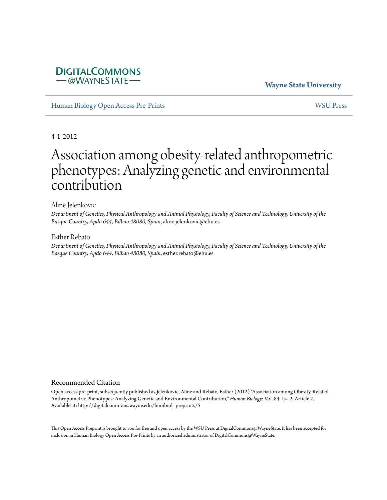# **DIGITALCOMMONS** -@WAYNESTATE

# **Wayne State University**

[Human Biology Open Access Pre-Prints](http://digitalcommons.wayne.edu/humbiol_preprints) [WSU Press](http://digitalcommons.wayne.edu/wsupress)

4-1-2012

# Association among obesity-related anthropometric phenotypes: Analyzing genetic and environmental contribution

#### Aline Jelenkovic

*Department of Genetics, Physical Anthropology and Animal Physiology, Faculty of Science and Technology, University of the Basque Country, Apdo 644, Bilbao 48080, Spain*, aline.jelenkovic@ehu.es

#### Esther Rebato

*Department of Genetics, Physical Anthropology and Animal Physiology, Faculty of Science and Technology, University of the Basque Country, Apdo 644, Bilbao 48080, Spain*, esther.rebato@ehu.es

#### Recommended Citation

Open access pre-print, subsequently published as Jelenkovic, Aline and Rebato, Esther (2012) "Association among Obesity-Related Anthropometric Phenotypes: Analyzing Genetic and Environmental Contribution," *Human Biology*: Vol. 84: Iss. 2, Article 2. Available at: http://digitalcommons.wayne.edu/humbiol\_preprints/5

This Open Access Preprint is brought to you for free and open access by the WSU Press at DigitalCommons@WayneState. It has been accepted for inclusion in Human Biology Open Access Pre-Prints by an authorized administrator of DigitalCommons@WayneState.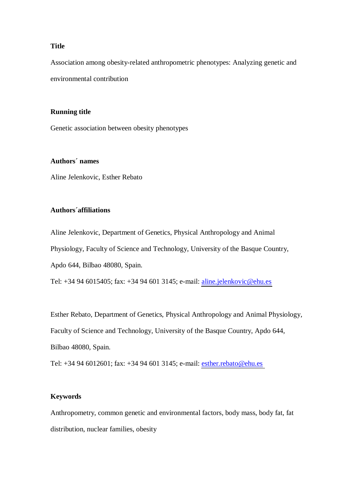# **Title**

Association among obesity-related anthropometric phenotypes: Analyzing genetic and environmental contribution

## **Running title**

Genetic association between obesity phenotypes

## **Authors´ names**

Aline Jelenkovic, Esther Rebato

### **Authors´affiliations**

Aline Jelenkovic, Department of Genetics, Physical Anthropology and Animal Physiology, Faculty of Science and Technology, University of the Basque Country, Apdo 644, Bilbao 48080, Spain.

Tel: +34 94 6015405; fax: +34 94 601 3145; e-mail: [aline.jelenkovic@ehu.es](mailto:aline.jelenkovic@ehu.es)

Esther Rebato, Department of Genetics, Physical Anthropology and Animal Physiology, Faculty of Science and Technology, University of the Basque Country, Apdo 644, Bilbao 48080, Spain.

Tel: +34 94 6012601; fax: +34 94 601 3145; e-mail: [esther.rebato@ehu.es](mailto:esther.rebato@ehu.es)

# **Keywords**

Anthropometry, common genetic and environmental factors, body mass, body fat, fat distribution, nuclear families, obesity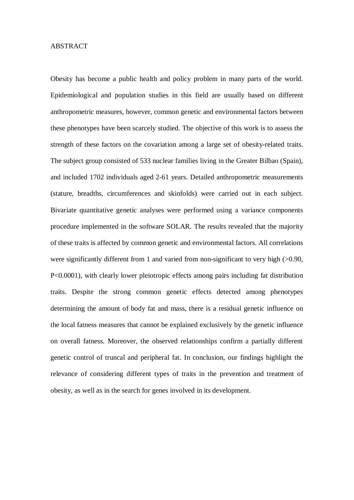## ABSTRACT

Obesity has become a public health and policy problem in many parts of the world. Epidemiological and population studies in this field are usually based on different anthropometric measures, however, common genetic and environmental factors between these phenotypes have been scarcely studied. The objective of this work is to assess the strength of these factors on the covariation among a large set of obesity-related traits. The subject group consisted of 533 nuclear families living in the Greater Bilbao (Spain), and included 1702 individuals aged 2-61 years. Detailed anthropometric measurements (stature, breadths, circumferences and skinfolds) were carried out in each subject. Bivariate quantitative genetic analyses were performed using a variance components procedure implemented in the software SOLAR. The results revealed that the majority of these traits is affected by common genetic and environmental factors. All correlations were significantly different from 1 and varied from non-significant to very high (>0.90, P<0.0001), with clearly lower pleiotropic effects among pairs including fat distribution traits. Despite the strong common genetic effects detected among phenotypes determining the amount of body fat and mass, there is a residual genetic influence on the local fatness measures that cannot be explained exclusively by the genetic influence on overall fatness. Moreover, the observed relationships confirm a partially different genetic control of truncal and peripheral fat. In conclusion, our findings highlight the relevance of considering different types of traits in the prevention and treatment of obesity, as well as in the search for genes involved in its development.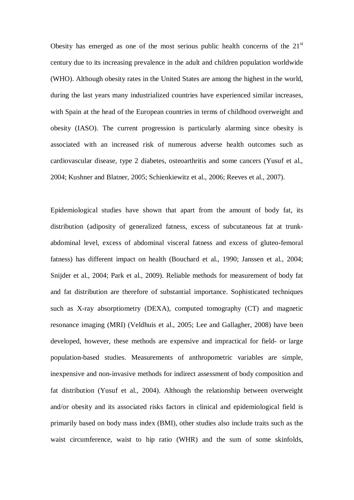Obesity has emerged as one of the most serious public health concerns of the  $21<sup>st</sup>$ century due to its increasing prevalence in the adult and children population worldwide (WHO). Although obesity rates in the United States are among the highest in the world, during the last years many industrialized countries have experienced similar increases, with Spain at the head of the European countries in terms of childhood overweight and obesity (IASO). The current progression is particularly alarming since obesity is associated with an increased risk of numerous adverse health outcomes such as cardiovascular disease, type 2 diabetes, osteoarthritis and some cancers (Yusuf et al., 2004; Kushner and Blatner, 2005; Schienkiewitz et al., 2006; Reeves et al., 2007).

Epidemiological studies have shown that apart from the amount of body fat, its distribution (adiposity of generalized fatness, excess of subcutaneous fat at trunkabdominal level, excess of abdominal visceral fatness and excess of gluteo-femoral fatness) has different impact on health (Bouchard et al., 1990; Janssen et al., 2004; Snijder et al., 2004; Park et al., 2009). Reliable methods for measurement of body fat and fat distribution are therefore of substantial importance. Sophisticated techniques such as X-ray absorptiometry (DEXA), computed tomography (CT) and magnetic resonance imaging (MRI) (Veldhuis et al., 2005; Lee and Gallagher, 2008) have been developed, however, these methods are expensive and impractical for field- or large population-based studies. Measurements of anthropometric variables are simple, inexpensive and non-invasive methods for indirect assessment of body composition and fat distribution (Yusuf et al., 2004). Although the relationship between overweight and/or obesity and its associated risks factors in clinical and epidemiological field is primarily based on body mass index (BMI), other studies also include traits such as the waist circumference, waist to hip ratio (WHR) and the sum of some skinfolds,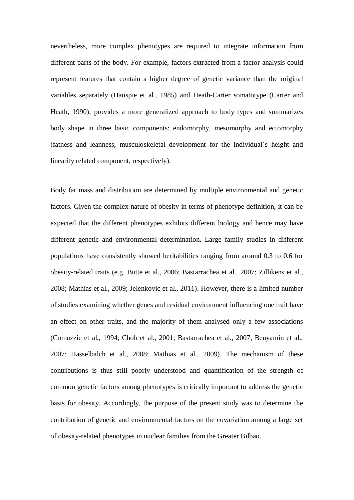nevertheless, more complex phenotypes are required to integrate information from different parts of the body. For example, factors extracted from a factor analysis could represent features that contain a higher degree of genetic variance than the original variables separately (Hauspie et al., 1985) and Heath-Carter somatotype (Carter and Heath, 1990), provides a more generalized approach to body types and summarizes body shape in three basic components: endomorphy, mesomorphy and ectomorphy (fatness and leanness, musculoskeletal development for the individual´s height and linearity related component, respectively).

Body fat mass and distribution are determined by multiple environmental and genetic factors. Given the complex nature of obesity in terms of phenotype definition, it can be expected that the different phenotypes exhibits different biology and hence may have different genetic and environmental determination. Large family studies in different populations have consistently showed heritabilities ranging from around 0.3 to 0.6 for obesity-related traits (e.g. Butte et al., 2006; Bastarrachea et al., 2007; Zillikens et al., 2008; Mathias et al., 2009; Jelenkovic et al., 2011). However, there is a limited number of studies examining whether genes and residual environment influencing one trait have an effect on other traits, and the majority of them analysed only a few associations (Comuzzie et al., 1994; Choh et al., 2001; Bastarrachea et al., 2007; Benyamin et al., 2007; Hasselbalch et al., 2008; Mathias et al., 2009). The mechanism of these contributions is thus still poorly understood and quantification of the strength of common genetic factors among phenotypes is critically important to address the genetic basis for obesity. Accordingly, the purpose of the present study was to determine the contribution of genetic and environmental factors on the covariation among a large set of obesity-related phenotypes in nuclear families from the Greater Bilbao.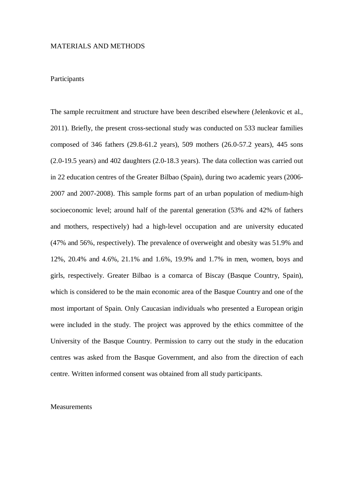# MATERIALS AND METHODS

### **Participants**

The sample recruitment and structure have been described elsewhere (Jelenkovic et al., 2011). Briefly, the present cross-sectional study was conducted on 533 nuclear families composed of 346 fathers (29.8-61.2 years), 509 mothers (26.0-57.2 years), 445 sons (2.0-19.5 years) and 402 daughters (2.0-18.3 years). The data collection was carried out in 22 education centres of the Greater Bilbao (Spain), during two academic years (2006- 2007 and 2007-2008). This sample forms part of an urban population of medium-high socioeconomic level; around half of the parental generation (53% and 42% of fathers and mothers, respectively) had a high-level occupation and are university educated (47% and 56%, respectively). The prevalence of overweight and obesity was 51.9% and 12%, 20.4% and 4.6%, 21.1% and 1.6%, 19.9% and 1.7% in men, women, boys and girls, respectively. Greater Bilbao is a comarca of Biscay (Basque Country, Spain), which is considered to be the main economic area of the Basque Country and one of the most important of Spain. Only Caucasian individuals who presented a European origin were included in the study. The project was approved by the ethics committee of the University of the Basque Country. Permission to carry out the study in the education centres was asked from the Basque Government, and also from the direction of each centre. Written informed consent was obtained from all study participants.

#### **Measurements**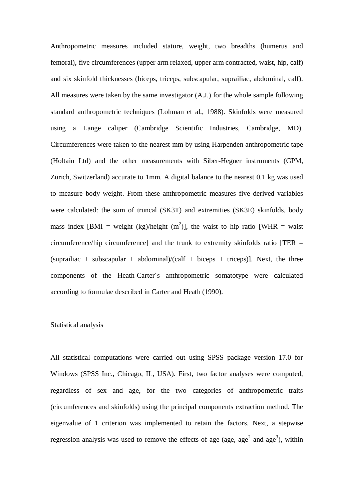Anthropometric measures included stature, weight, two breadths (humerus and femoral), five circumferences (upper arm relaxed, upper arm contracted, waist, hip, calf) and six skinfold thicknesses (biceps, triceps, subscapular, suprailiac, abdominal, calf). All measures were taken by the same investigator (A.J.) for the whole sample following standard anthropometric techniques (Lohman et al., 1988). Skinfolds were measured using a Lange caliper (Cambridge Scientific Industries, Cambridge, MD). Circumferences were taken to the nearest mm by using Harpenden anthropometric tape (Holtain Ltd) and the other measurements with Siber-Hegner instruments (GPM, Zurich, Switzerland) accurate to 1mm. A digital balance to the nearest 0.1 kg was used to measure body weight. From these anthropometric measures five derived variables were calculated: the sum of truncal (SK3T) and extremities (SK3E) skinfolds, body mass index [BMI = weight (kg)/height  $(m^2)$ ], the waist to hip ratio [WHR = waist circumference/hip circumference] and the trunk to extremity skinfolds ratio  $[TER =$ (suprailiac + subscapular + abdominal)/(calf + biceps + triceps)]. Next, the three components of the Heath-Carter´s anthropometric somatotype were calculated according to formulae described in Carter and Heath (1990).

## Statistical analysis

All statistical computations were carried out using SPSS package version 17.0 for Windows (SPSS Inc., Chicago, IL, USA). First, two factor analyses were computed, regardless of sex and age, for the two categories of anthropometric traits (circumferences and skinfolds) using the principal components extraction method. The eigenvalue of 1 criterion was implemented to retain the factors. Next, a stepwise regression analysis was used to remove the effects of age (age, age<sup>2</sup> and age<sup>3</sup>), within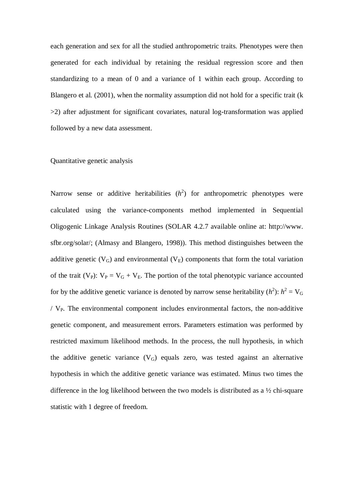each generation and sex for all the studied anthropometric traits. Phenotypes were then generated for each individual by retaining the residual regression score and then standardizing to a mean of 0 and a variance of 1 within each group. According to Blangero et al. (2001), when the normality assumption did not hold for a specific trait (k >2) after adjustment for significant covariates, natural log-transformation was applied followed by a new data assessment.

## Quantitative genetic analysis

Narrow sense or additive heritabilities  $(h^2)$  for anthropometric phenotypes were calculated using the variance-components method implemented in Sequential Oligogenic Linkage Analysis Routines (SOLAR 4.2.7 available online at: http://www. sfbr.org/solar/; (Almasy and Blangero, 1998)). This method distinguishes between the additive genetic  $(V_G)$  and environmental  $(V_F)$  components that form the total variation of the trait (V<sub>P</sub>):  $V_P = V_G + V_E$ . The portion of the total phenotypic variance accounted for by the additive genetic variance is denoted by narrow sense heritability  $(h^2)$ :  $h^2 = V_G$  $/ V_{P}$ . The environmental component includes environmental factors, the non-additive genetic component, and measurement errors. Parameters estimation was performed by restricted maximum likelihood methods. In the process, the null hypothesis, in which the additive genetic variance  $(V_G)$  equals zero, was tested against an alternative hypothesis in which the additive genetic variance was estimated. Minus two times the difference in the log likelihood between the two models is distributed as a ½ chi-square statistic with 1 degree of freedom.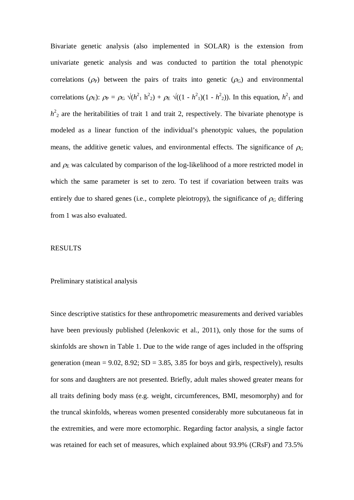Bivariate genetic analysis (also implemented in SOLAR) is the extension from univariate genetic analysis and was conducted to partition the total phenotypic correlations ( $\rho$ <sub>P</sub>) between the pairs of traits into genetic ( $\rho$ <sub>G</sub>) and environmental correlations ( $\rho$ <sub>E</sub>):  $\rho$ <sub>P</sub> =  $\rho$ <sub>G</sub>  $\sqrt{(h^2 + h^2)^2 + \rho}$ E  $\sqrt{(1 - h^2)^2 + (1 - h^2)^2}$ ). In this equation,  $h^2$ <sub>1</sub> and  $h^2$ <sub>2</sub> are the heritabilities of trait 1 and trait 2, respectively. The bivariate phenotype is modeled as a linear function of the individual's phenotypic values, the population means, the additive genetic values, and environmental effects. The significance of  $\rho$ G and  $\rho_E$  was calculated by comparison of the log-likelihood of a more restricted model in which the same parameter is set to zero. To test if covariation between traits was entirely due to shared genes (i.e., complete pleiotropy), the significance of  $\rho_G$  differing from 1 was also evaluated.

#### RESULTS

#### Preliminary statistical analysis

Since descriptive statistics for these anthropometric measurements and derived variables have been previously published (Jelenkovic et al., 2011), only those for the sums of skinfolds are shown in Table 1. Due to the wide range of ages included in the offspring generation (mean =  $9.02$ ,  $8.92$ ;  $SD = 3.85$ ,  $3.85$  for boys and girls, respectively), results for sons and daughters are not presented. Briefly, adult males showed greater means for all traits defining body mass (e.g. weight, circumferences, BMI, mesomorphy) and for the truncal skinfolds, whereas women presented considerably more subcutaneous fat in the extremities, and were more ectomorphic. Regarding factor analysis, a single factor was retained for each set of measures, which explained about 93.9% (CRsF) and 73.5%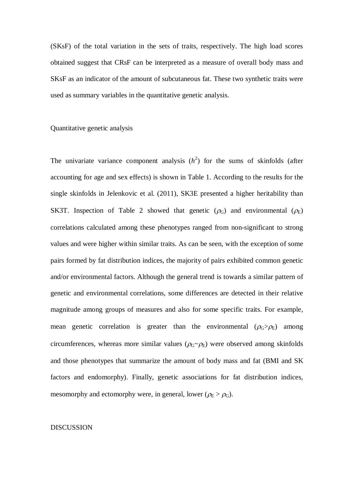(SKsF) of the total variation in the sets of traits, respectively. The high load scores obtained suggest that CRsF can be interpreted as a measure of overall body mass and SKsF as an indicator of the amount of subcutaneous fat. These two synthetic traits were used as summary variables in the quantitative genetic analysis.

## Quantitative genetic analysis

The univariate variance component analysis  $(h^2)$  for the sums of skinfolds (after accounting for age and sex effects) is shown in Table 1. According to the results for the single skinfolds in Jelenkovic et al. (2011), SK3E presented a higher heritability than SK3T. Inspection of Table 2 showed that genetic  $(\rho_G)$  and environmental  $(\rho_E)$ correlations calculated among these phenotypes ranged from non-significant to strong values and were higher within similar traits. As can be seen, with the exception of some pairs formed by fat distribution indices, the majority of pairs exhibited common genetic and/or environmental factors. Although the general trend is towards a similar pattern of genetic and environmental correlations, some differences are detected in their relative magnitude among groups of measures and also for some specific traits. For example, mean genetic correlation is greater than the environmental  $(\rho_G > \rho_E)$  among circumferences, whereas more similar values ( $\rho$ <sub>G</sub> $\sim$  $\rho$ <sub>E</sub>) were observed among skinfolds and those phenotypes that summarize the amount of body mass and fat (BMI and SK factors and endomorphy). Finally, genetic associations for fat distribution indices, mesomorphy and ectomorphy were, in general, lower ( $\rho_E > \rho_G$ ).

## **DISCUSSION**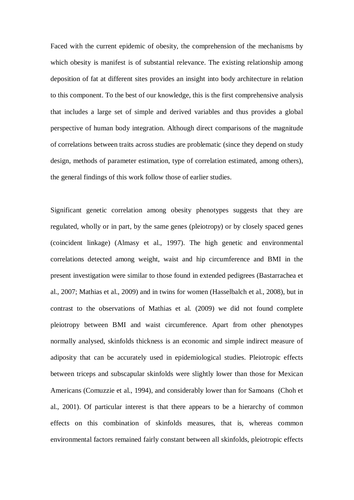Faced with the current epidemic of obesity, the comprehension of the mechanisms by which obesity is manifest is of substantial relevance. The existing relationship among deposition of fat at different sites provides an insight into body architecture in relation to this component. To the best of our knowledge, this is the first comprehensive analysis that includes a large set of simple and derived variables and thus provides a global perspective of human body integration. Although direct comparisons of the magnitude of correlations between traits across studies are problematic (since they depend on study design, methods of parameter estimation, type of correlation estimated, among others), the general findings of this work follow those of earlier studies.

Significant genetic correlation among obesity phenotypes suggests that they are regulated, wholly or in part, by the same genes (pleiotropy) or by closely spaced genes (coincident linkage) (Almasy et al., 1997). The high genetic and environmental correlations detected among weight, waist and hip circumference and BMI in the present investigation were similar to those found in extended pedigrees (Bastarrachea et al., 2007; Mathias et al., 2009) and in twins for women (Hasselbalch et al., 2008), but in contrast to the observations of Mathias et al. (2009) we did not found complete pleiotropy between BMI and waist circumference. Apart from other phenotypes normally analysed, skinfolds thickness is an economic and simple indirect measure of adiposity that can be accurately used in epidemiological studies. Pleiotropic effects between triceps and subscapular skinfolds were slightly lower than those for Mexican Americans (Comuzzie et al., 1994), and considerably lower than for Samoans (Choh et al., 2001). Of particular interest is that there appears to be a hierarchy of common effects on this combination of skinfolds measures, that is, whereas common environmental factors remained fairly constant between all skinfolds, pleiotropic effects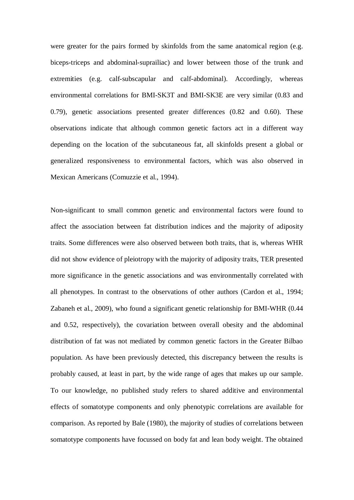were greater for the pairs formed by skinfolds from the same anatomical region (e.g. biceps-triceps and abdominal-suprailiac) and lower between those of the trunk and extremities (e.g. calf-subscapular and calf-abdominal). Accordingly, whereas environmental correlations for BMI-SK3T and BMI-SK3E are very similar (0.83 and 0.79), genetic associations presented greater differences (0.82 and 0.60). These observations indicate that although common genetic factors act in a different way depending on the location of the subcutaneous fat, all skinfolds present a global or generalized responsiveness to environmental factors, which was also observed in Mexican Americans (Comuzzie et al., 1994).

Non-significant to small common genetic and environmental factors were found to affect the association between fat distribution indices and the majority of adiposity traits. Some differences were also observed between both traits, that is, whereas WHR did not show evidence of pleiotropy with the majority of adiposity traits, TER presented more significance in the genetic associations and was environmentally correlated with all phenotypes. In contrast to the observations of other authors (Cardon et al., 1994; Zabaneh et al., 2009), who found a significant genetic relationship for BMI-WHR (0.44 and 0.52, respectively), the covariation between overall obesity and the abdominal distribution of fat was not mediated by common genetic factors in the Greater Bilbao population. As have been previously detected, this discrepancy between the results is probably caused, at least in part, by the wide range of ages that makes up our sample. To our knowledge, no published study refers to shared additive and environmental effects of somatotype components and only phenotypic correlations are available for comparison. As reported by Bale (1980), the majority of studies of correlations between somatotype components have focussed on body fat and lean body weight. The obtained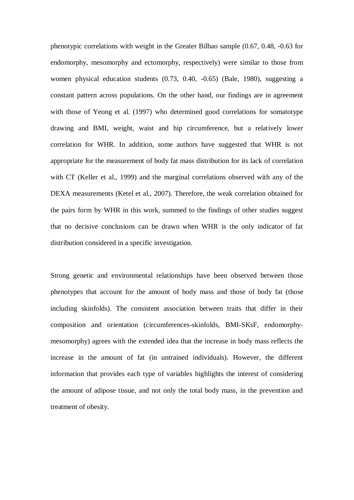phenotypic correlations with weight in the Greater Bilbao sample (0.67, 0.48, -0.63 for endomorphy, mesomorphy and ectomorphy, respectively) were similar to those from women physical education students (0.73, 0.40, -0.65) (Bale, 1980), suggesting a constant pattern across populations. On the other hand, our findings are in agreement with those of Yeong et al. (1997) who determined good correlations for somatotype drawing and BMI, weight, waist and hip circumference, but a relatively lower correlation for WHR. In addition, some authors have suggested that WHR is not appropriate for the measurement of body fat mass distribution for its lack of correlation with CT (Keller et al., 1999) and the marginal correlations observed with any of the DEXA measurements (Ketel et al., 2007). Therefore, the weak correlation obtained for the pairs form by WHR in this work, summed to the findings of other studies suggest that no decisive conclusions can be drawn when WHR is the only indicator of fat distribution considered in a specific investigation.

Strong genetic and environmental relationships have been observed between those phenotypes that account for the amount of body mass and those of body fat (those including skinfolds). The consistent association between traits that differ in their composition and orientation (circumferences-skinfolds, BMI-SKsF, endomorphymesomorphy) agrees with the extended idea that the increase in body mass reflects the increase in the amount of fat (in untrained individuals). However, the different information that provides each type of variables highlights the interest of considering the amount of adipose tissue, and not only the total body mass, in the prevention and treatment of obesity.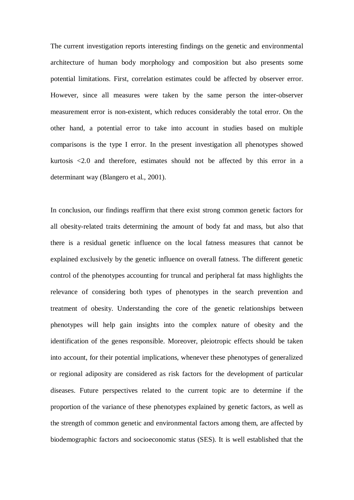The current investigation reports interesting findings on the genetic and environmental architecture of human body morphology and composition but also presents some potential limitations. First, correlation estimates could be affected by observer error. However, since all measures were taken by the same person the inter-observer measurement error is non-existent, which reduces considerably the total error. On the other hand, a potential error to take into account in studies based on multiple comparisons is the type I error. In the present investigation all phenotypes showed kurtosis <2.0 and therefore, estimates should not be affected by this error in a determinant way (Blangero et al., 2001).

In conclusion, our findings reaffirm that there exist strong common genetic factors for all obesity-related traits determining the amount of body fat and mass, but also that there is a residual genetic influence on the local fatness measures that cannot be explained exclusively by the genetic influence on overall fatness. The different genetic control of the phenotypes accounting for truncal and peripheral fat mass highlights the relevance of considering both types of phenotypes in the search prevention and treatment of obesity. Understanding the core of the genetic relationships between phenotypes will help gain insights into the complex nature of obesity and the identification of the genes responsible. Moreover, pleiotropic effects should be taken into account, for their potential implications, whenever these phenotypes of generalized or regional adiposity are considered as risk factors for the development of particular diseases. Future perspectives related to the current topic are to determine if the proportion of the variance of these phenotypes explained by genetic factors, as well as the strength of common genetic and environmental factors among them, are affected by biodemographic factors and socioeconomic status (SES). It is well established that the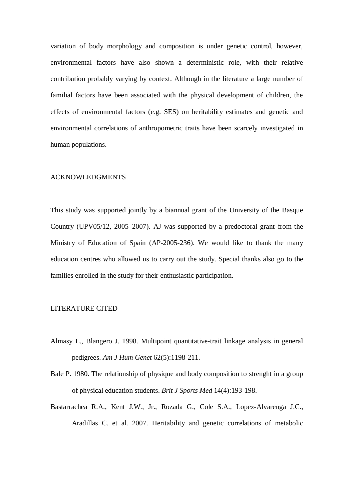variation of body morphology and composition is under genetic control, however, environmental factors have also shown a deterministic role, with their relative contribution probably varying by context. Although in the literature a large number of familial factors have been associated with the physical development of children, the effects of environmental factors (e.g. SES) on heritability estimates and genetic and environmental correlations of anthropometric traits have been scarcely investigated in human populations.

#### ACKNOWLEDGMENTS

This study was supported jointly by a biannual grant of the University of the Basque Country (UPV05/12, 2005–2007). AJ was supported by a predoctoral grant from the Ministry of Education of Spain (AP-2005-236). We would like to thank the many education centres who allowed us to carry out the study. Special thanks also go to the families enrolled in the study for their enthusiastic participation.

# LITERATURE CITED

- Almasy L., Blangero J. 1998. Multipoint quantitative-trait linkage analysis in general pedigrees. *Am J Hum Genet* 62(5):1198-211.
- Bale P. 1980. The relationship of physique and body composition to strenght in a group of physical education students. *Brit J Sports Med* 14(4):193-198.
- Bastarrachea R.A., Kent J.W., Jr., Rozada G., Cole S.A., Lopez-Alvarenga J.C., Aradillas C. et al. 2007. Heritability and genetic correlations of metabolic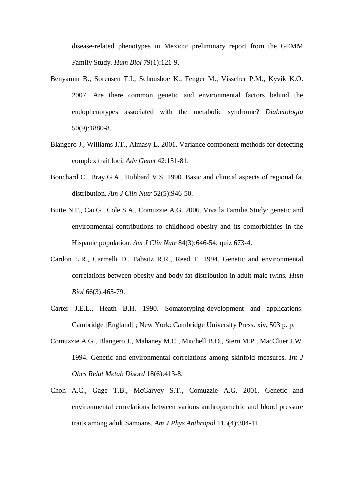disease-related phenotypes in Mexico: preliminary report from the GEMM Family Study. *Hum Biol* 79(1):121-9.

- Benyamin B., Sorensen T.I., Schousboe K., Fenger M., Visscher P.M., Kyvik K.O. 2007. Are there common genetic and environmental factors behind the endophenotypes associated with the metabolic syndrome? *Diabetologia* 50(9):1880-8.
- Blangero J., Williams J.T., Almasy L. 2001. Variance component methods for detecting complex trait loci. *Adv Genet* 42:151-81.
- Bouchard C., Bray G.A., Hubbard V.S. 1990. Basic and clinical aspects of regional fat distribution. *Am J Clin Nutr* 52(5):946-50.
- Butte N.F., Cai G., Cole S.A., Comuzzie A.G. 2006. Viva la Familia Study: genetic and environmental contributions to childhood obesity and its comorbidities in the Hispanic population. *Am J Clin Nutr* 84(3):646-54; quiz 673-4.
- Cardon L.R., Carmelli D., Fabsitz R.R., Reed T. 1994. Genetic and environmental correlations between obesity and body fat distribution in adult male twins. *Hum Biol* 66(3):465-79.
- Carter J.E.L., Heath B.H. 1990. Somatotyping-development and applications. Cambridge [England] ; New York: Cambridge University Press. xiv, 503 p. p.
- Comuzzie A.G., Blangero J., Mahaney M.C., Mitchell B.D., Stern M.P., MacCluer J.W. 1994. Genetic and environmental correlations among skinfold measures. *Int J Obes Relat Metab Disord* 18(6):413-8.
- Choh A.C., Gage T.B., McGarvey S.T., Comuzzie A.G. 2001. Genetic and environmental correlations between various anthropometric and blood pressure traits among adult Samoans. *Am J Phys Anthropol* 115(4):304-11.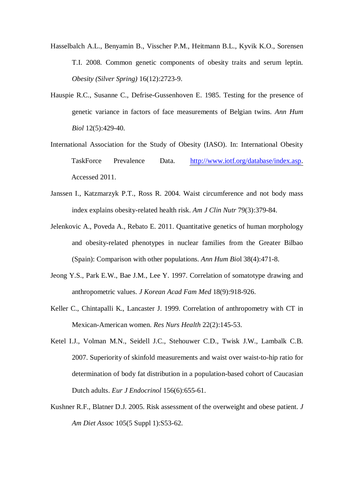- Hasselbalch A.L., Benyamin B., Visscher P.M., Heitmann B.L., Kyvik K.O., Sorensen T.I. 2008. Common genetic components of obesity traits and serum leptin. *Obesity (Silver Spring)* 16(12):2723-9.
- Hauspie R.C., Susanne C., Defrise-Gussenhoven E. 1985. Testing for the presence of genetic variance in factors of face measurements of Belgian twins. *Ann Hum Biol* 12(5):429-40.
- International Association for the Study of Obesity (IASO). In: International Obesity TaskForce Prevalence Data. [http://www.iotf.org/database/index.asp.](http://www.iotf.org/database/index.asp) Accessed 2011.
- Janssen I., Katzmarzyk P.T., Ross R. 2004. Waist circumference and not body mass index explains obesity-related health risk. *Am J Clin Nutr* 79(3):379-84.
- Jelenkovic A., Poveda A., Rebato E. 2011. Quantitative genetics of human morphology and obesity-related phenotypes in nuclear families from the Greater Bilbao (Spain): Comparison with other populations. *Ann Hum Bio*l 38(4):471-8.
- Jeong Y.S., Park E.W., Bae J.M., Lee Y. 1997. Correlation of somatotype drawing and anthropometric values. *J Korean Acad Fam Med* 18(9):918-926.
- Keller C., Chintapalli K., Lancaster J. 1999. Correlation of anthropometry with CT in Mexican-American women. *Res Nurs Health* 22(2):145-53.
- Ketel I.J., Volman M.N., Seidell J.C., Stehouwer C.D., Twisk J.W., Lambalk C.B. 2007. Superiority of skinfold measurements and waist over waist-to-hip ratio for determination of body fat distribution in a population-based cohort of Caucasian Dutch adults. *Eur J Endocrinol* 156(6):655-61.
- Kushner R.F., Blatner D.J. 2005. Risk assessment of the overweight and obese patient. *J Am Diet Assoc* 105(5 Suppl 1):S53-62.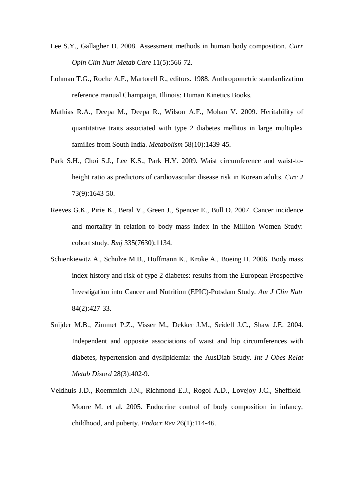- Lee S.Y., Gallagher D. 2008. Assessment methods in human body composition. *Curr Opin Clin Nutr Metab Care* 11(5):566-72.
- Lohman T.G., Roche A.F., Martorell R., editors. 1988. Anthropometric standardization reference manual Champaign, Illinois: Human Kinetics Books.
- Mathias R.A., Deepa M., Deepa R., Wilson A.F., Mohan V. 2009. Heritability of quantitative traits associated with type 2 diabetes mellitus in large multiplex families from South India. *Metabolism* 58(10):1439-45.
- Park S.H., Choi S.J., Lee K.S., Park H.Y. 2009. Waist circumference and waist-toheight ratio as predictors of cardiovascular disease risk in Korean adults. *Circ J* 73(9):1643-50.
- Reeves G.K., Pirie K., Beral V., Green J., Spencer E., Bull D. 2007. Cancer incidence and mortality in relation to body mass index in the Million Women Study: cohort study. *Bmj* 335(7630):1134.
- Schienkiewitz A., Schulze M.B., Hoffmann K., Kroke A., Boeing H. 2006. Body mass index history and risk of type 2 diabetes: results from the European Prospective Investigation into Cancer and Nutrition (EPIC)-Potsdam Study. *Am J Clin Nutr* 84(2):427-33.
- Snijder M.B., Zimmet P.Z., Visser M., Dekker J.M., Seidell J.C., Shaw J.E. 2004. Independent and opposite associations of waist and hip circumferences with diabetes, hypertension and dyslipidemia: the AusDiab Study. *Int J Obes Relat Metab Disord* 28(3):402-9.
- Veldhuis J.D., Roemmich J.N., Richmond E.J., Rogol A.D., Lovejoy J.C., Sheffield-Moore M. et al. 2005. Endocrine control of body composition in infancy, childhood, and puberty. *Endocr Rev* 26(1):114-46.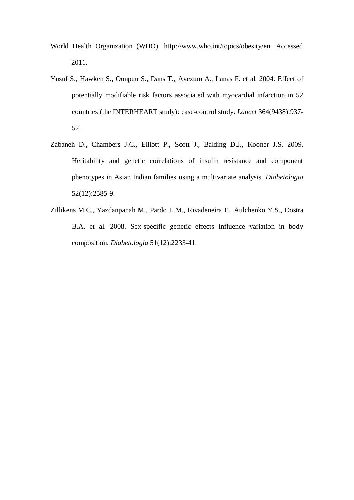- World Health Organization (WHO). http://www.who.int/topics/obesity/en. Accessed 2011.
- Yusuf S., Hawken S., Ounpuu S., Dans T., Avezum A., Lanas F. et al. 2004. Effect of potentially modifiable risk factors associated with myocardial infarction in 52 countries (the INTERHEART study): case-control study. *Lancet* 364(9438):937- 52.
- Zabaneh D., Chambers J.C., Elliott P., Scott J., Balding D.J., Kooner J.S. 2009. Heritability and genetic correlations of insulin resistance and component phenotypes in Asian Indian families using a multivariate analysis. *Diabetologia* 52(12):2585-9.
- Zillikens M.C., Yazdanpanah M., Pardo L.M., Rivadeneira F., Aulchenko Y.S., Oostra B.A. et al. 2008. Sex-specific genetic effects influence variation in body composition. *Diabetologia* 51(12):2233-41.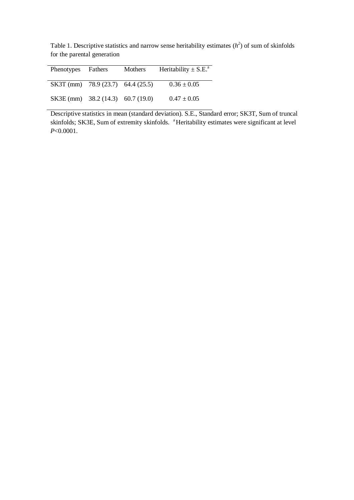Table 1. Descriptive statistics and narrow sense heritability estimates  $(h^2)$  of sum of skinfolds for the parental generation

| Phenotypes Fathers                | Mothers | Heritability $\pm$ S.E. <sup>a</sup> |  |  |  |  |  |  |
|-----------------------------------|---------|--------------------------------------|--|--|--|--|--|--|
| SK3T (mm) 78.9 (23.7) 64.4 (25.5) |         | $0.36 \pm 0.05$                      |  |  |  |  |  |  |
| SK3E (mm) 38.2 (14.3) 60.7 (19.0) |         | $0.47 \pm 0.05$                      |  |  |  |  |  |  |

Descriptive statistics in mean (standard deviation). S.E., Standard error; SK3T, Sum of truncal skinfolds; SK3E, Sum of extremity skinfolds. <sup>a</sup>Heritability estimates were significant at level *P*<0.0001.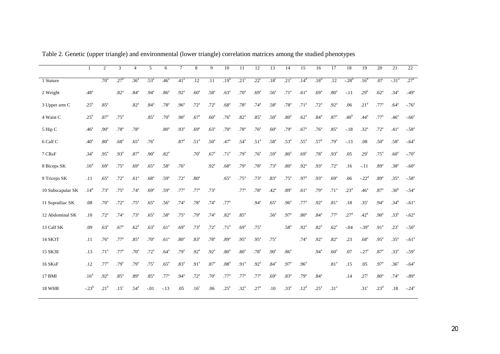|                   |                  | $\mathcal{D}_{\mathcal{L}}$ | 3                | $\overline{4}$   | 5                | 6                | $\tau$           | 8                | 9                | 10               | 11               | $\overline{12}$  | 13               | 14               | 15               | 16               | 17               | 18               | 19                   | 20               | 21               | $\overline{22}$  |
|-------------------|------------------|-----------------------------|------------------|------------------|------------------|------------------|------------------|------------------|------------------|------------------|------------------|------------------|------------------|------------------|------------------|------------------|------------------|------------------|----------------------|------------------|------------------|------------------|
| 1 Stature         |                  | .70 <sup>a</sup>            | $.27^{\rm b}$    | .36 <sup>a</sup> | .53 <sup>a</sup> | .46 <sup>a</sup> | .41 <sup>a</sup> | .12              | .11              | .19 <sup>d</sup> | .21 <sup>c</sup> | $.22^{\circ}$    | .18 <sup>c</sup> | .21 <sup>c</sup> | .14 <sup>d</sup> | $.18^{d}$        | .12              | $-28^{b}$        | .16 <sup>d</sup>     | .07              | $-31^{a}$        | .27 <sup>a</sup> |
| 2 Weight          | .48 <sup>a</sup> |                             | .82 <sup>a</sup> | .84 <sup>a</sup> | .94 <sup>a</sup> | .86 <sup>a</sup> | .92 <sup>a</sup> | .60 <sup>a</sup> | .58 <sup>a</sup> | .63 <sup>a</sup> | .70 <sup>a</sup> | .69 <sup>a</sup> | .56 <sup>a</sup> | .71 <sup>a</sup> | .61 <sup>a</sup> | .69 <sup>a</sup> | .80 <sup>a</sup> | $-.11$           | .29 <sup>b</sup>     | .62 <sup>a</sup> | .34 <sup>a</sup> | $-49a$           |
| 3 Upper arm C     | $.25^{\rm b}$    | .85 <sup>a</sup>            |                  | .82 <sup>a</sup> | .84 <sup>a</sup> | .78 <sup>a</sup> | .96 <sup>a</sup> | .72 <sup>a</sup> | .72 <sup>a</sup> | .68 <sup>a</sup> | .78 <sup>a</sup> | .74 <sup>a</sup> | .58 <sup>a</sup> | .78 <sup>a</sup> | .71 <sup>a</sup> | .72 <sup>a</sup> | .92 <sup>a</sup> | .06              | .21 <sup>d</sup>     | .77 <sup>a</sup> | .64 <sup>a</sup> | $-76^{\circ}$    |
| 4 Waist C         | .25 <sup>b</sup> | .87 <sup>a</sup>            | .75 <sup>a</sup> |                  | .85 <sup>a</sup> | .70 <sup>a</sup> | .90 <sup>a</sup> | .67 <sup>a</sup> | .60 <sup>a</sup> | .76 <sup>a</sup> | .82 <sup>a</sup> | .85 <sup>a</sup> | .50 <sup>a</sup> | .80 <sup>a</sup> | .62 <sup>a</sup> | .84 <sup>a</sup> | .87 <sup>a</sup> | .40 <sup>b</sup> | .44 <sup>a</sup>     | .77 <sup>a</sup> | .46 <sup>a</sup> | $-0.66^a$        |
| 5 Hip C           | .46 <sup>a</sup> | .90 <sup>a</sup>            | .78 <sup>a</sup> | .78 <sup>a</sup> |                  | .80 <sup>a</sup> | .93 <sup>a</sup> | .69 <sup>a</sup> | .63 <sup>a</sup> | .70 <sup>a</sup> | .78 <sup>a</sup> | .76 <sup>a</sup> | .60 <sup>a</sup> | .79 <sup>a</sup> | .67 <sup>a</sup> | .76 <sup>a</sup> | .85 <sup>a</sup> | $-.18$           | .32 <sup>a</sup>     | .72 <sup>a</sup> | .41 <sup>a</sup> | $-58^{\rm a}$    |
| 6 Calf C          | .40 <sup>a</sup> | .80 <sup>a</sup>            | .68 <sup>a</sup> | .65 <sup>a</sup> | .76 <sup>a</sup> |                  | .87 <sup>a</sup> | .51 <sup>a</sup> | .50 <sup>a</sup> | .47 <sup>a</sup> | .54 <sup>a</sup> | .51 <sup>a</sup> | .58 <sup>a</sup> | $.53^{\circ}$    | .55 <sup>a</sup> | .57 <sup>a</sup> | .79 <sup>a</sup> | $-.13$           | .08                  | .50 <sup>a</sup> | .58 <sup>a</sup> | $-64^{\circ}$    |
| 7 CRsF            | .34 <sup>a</sup> | .95 <sup>a</sup>            | .93 <sup>a</sup> | .87 <sup>a</sup> | .90 <sup>a</sup> | .82 <sup>a</sup> |                  | .70 <sup>a</sup> | .67 <sup>a</sup> | .71 <sup>a</sup> | .79 <sup>a</sup> | .76 <sup>a</sup> | .59 <sup>a</sup> | .80 <sup>a</sup> | .69 <sup>a</sup> | .78 <sup>a</sup> | .93 <sup>a</sup> | .05              | .29 <sup>c</sup>     | .75 <sup>a</sup> | .60 <sup>a</sup> | $-70^{\circ}$    |
| 8 Biceps SK       | .16 <sup>d</sup> | .69 <sup>a</sup>            | .75 <sup>a</sup> | .69 <sup>a</sup> | .65 <sup>a</sup> | .58 <sup>a</sup> | .76 <sup>a</sup> |                  | .92 <sup>a</sup> | .68 <sup>a</sup> | .79 <sup>a</sup> | .78 <sup>a</sup> | .73 <sup>a</sup> | .80 <sup>a</sup> | .92 <sup>a</sup> | .93 <sup>a</sup> | .72 <sup>a</sup> | .16              | $-.11$               | .89 <sup>a</sup> | .38 $a$          | $-60^{\circ}$    |
| 9 Triceps SK      | .11              | .65 <sup>a</sup>            | .72 <sup>a</sup> | .61 <sup>a</sup> | .68 <sup>a</sup> | .59 <sup>a</sup> | .72 <sup>a</sup> | .80 <sup>a</sup> |                  | .65 <sup>a</sup> | .75 <sup>a</sup> | .73 <sup>a</sup> | .83 <sup>a</sup> | .75 <sup>a</sup> | .97 <sup>a</sup> | .93 <sup>a</sup> | .69 <sup>a</sup> | .06              | $-0.22$ <sup>d</sup> | .89 <sup>a</sup> | .35 <sup>a</sup> | $-58a$           |
| 10 Subscapular SK | .14 <sup>d</sup> | .73 <sup>a</sup>            | .75 <sup>a</sup> | .74 <sup>a</sup> | .69 <sup>a</sup> | .59 <sup>a</sup> | .77 <sup>a</sup> | .77 <sup>a</sup> | .73 <sup>a</sup> |                  | .77 <sup>a</sup> | .78 <sup>a</sup> | .42 <sup>a</sup> | .89 <sup>a</sup> | .61 <sup>a</sup> | .79 <sup>a</sup> | .71 <sup>a</sup> | .23 <sup>d</sup> | .46 <sup>a</sup>     | .87 <sup>a</sup> | .30 <sup>b</sup> | $-.54^{\circ}$   |
| 11 Suprailiac SK  | .08              | .70 <sup>a</sup>            | .72 <sup>a</sup> | .75 <sup>a</sup> | .65 <sup>a</sup> | .56 <sup>a</sup> | .74 <sup>a</sup> | .78 <sup>a</sup> | .74 <sup>a</sup> | .77 <sup>a</sup> |                  | .94 <sup>a</sup> | .65 <sup>a</sup> | .96 <sup>a</sup> | .77 <sup>a</sup> | .92 <sup>a</sup> | .81 <sup>a</sup> | .18              | .35 <sup>c</sup>     | .94 <sup>a</sup> | $.34^{b}$        | $-61a$           |
| 12 Abdominal SK   | .10              | .72 <sup>a</sup>            | .74 <sup>a</sup> | .73 <sup>a</sup> | .65 <sup>a</sup> | .58 <sup>a</sup> | .75 <sup>a</sup> | .79 <sup>a</sup> | .74 <sup>a</sup> | .82 <sup>a</sup> | .85 <sup>a</sup> |                  | .56 <sup>a</sup> | .97 <sup>a</sup> | .80 <sup>a</sup> | .84 <sup>a</sup> | .77 <sup>a</sup> | .27 <sup>d</sup> | .42 <sup>b</sup>     | .90 <sup>a</sup> | .33 <sup>b</sup> | $-.62a$          |
| 13 Calf SK        | .09              | .63 <sup>a</sup>            | .67 <sup>a</sup> | .62 <sup>a</sup> | .63 <sup>a</sup> | .61 <sup>a</sup> | .69 <sup>a</sup> | .73 <sup>a</sup> | .72 <sup>a</sup> | .71 <sup>a</sup> | .69 <sup>a</sup> | .75 <sup>a</sup> |                  | .58 <sup>a</sup> | .92 <sup>a</sup> | .82 <sup>a</sup> | .62 <sup>a</sup> | $-.04$           | $-0.39$ <sup>a</sup> | .91 <sup>a</sup> | .23 <sup>c</sup> | $-.50a$          |
| 14 SK3T           | .11              | .76 <sup>a</sup>            | .77 <sup>a</sup> | .85 <sup>a</sup> | .70 <sup>a</sup> | .61 <sup>a</sup> | .80 <sup>a</sup> | .83 <sup>a</sup> | .78 <sup>a</sup> | .89 <sup>a</sup> | .95 <sup>a</sup> | .95 <sup>a</sup> | .75 <sup>a</sup> |                  | .74 <sup>a</sup> | .92 <sup>a</sup> | .82 <sup>a</sup> | .23              | $.68a$               | .95 <sup>a</sup> | .35 <sup>a</sup> | $-61^a$          |
| 15 SK3E           | .13              | .71 <sup>a</sup>            | .77 <sup>a</sup> | .70 <sup>a</sup> | .72 <sup>a</sup> | .64 <sup>a</sup> | .79 <sup>a</sup> | .92 <sup>a</sup> | .92 <sup>a</sup> | .80 <sup>a</sup> | .80 <sup>a</sup> | .78 <sup>a</sup> | .90 <sup>a</sup> | .86 <sup>a</sup> |                  | .94 <sup>a</sup> | .60 <sup>a</sup> | .07              | $-27$ <sup>c</sup>   | .87 <sup>a</sup> | .33 <sup>a</sup> | $-59^{a}$        |
| 16 SKsF           | .12              | .77 <sup>a</sup>            | .79 <sup>a</sup> | .79 <sup>a</sup> | .75 <sup>a</sup> | .65 <sup>a</sup> | .83 <sup>a</sup> | .91 <sup>a</sup> | .87 <sup>a</sup> | .88 <sup>a</sup> | .91 <sup>a</sup> | .92 <sup>a</sup> | .84 <sup>a</sup> | .97 <sup>a</sup> | .96 <sup>a</sup> |                  | .81 <sup>a</sup> | .15              | .05                  | .97 <sup>a</sup> | .36 <sup>a</sup> | $-64^{\rm a}$    |
| 17 BMI            | .16 <sup>d</sup> | .92 <sup>a</sup>            | $85^{\rm a}$     | .89 <sup>a</sup> | .85 <sup>a</sup> | .77 <sup>a</sup> | .94 <sup>a</sup> | .72 <sup>a</sup> | .70 <sup>a</sup> | .77 <sup>a</sup> | .77 <sup>a</sup> | .77 <sup>a</sup> | .69 <sup>a</sup> | .83 <sup>a</sup> | .79 <sup>a</sup> | .84 <sup>a</sup> |                  | .14              | .27 <sup>c</sup>     | $.80^{\rm a}$    | .74 <sup>a</sup> | $-89a$           |
| <b>18 WHR</b>     | $-0.23^{b}$      | .21 <sup>b</sup>            | .15 <sup>c</sup> | .54 <sup>a</sup> | $-.01$           | $-.13$           | .05              | .16 <sup>c</sup> | .06              | .25 <sup>a</sup> | .32 <sup>a</sup> | .27 <sup>a</sup> | $.10\,$          | .33 <sup>a</sup> | .12 <sup>d</sup> | .25 <sup>a</sup> | .31 <sup>a</sup> |                  | .31 <sup>c</sup>     | .23 <sup>d</sup> | .18              | $-24^{\rm a}$    |

Table 2. Genetic (upper triangle) and environmental (lower triangle) correlation matrices among the studied phenotypes